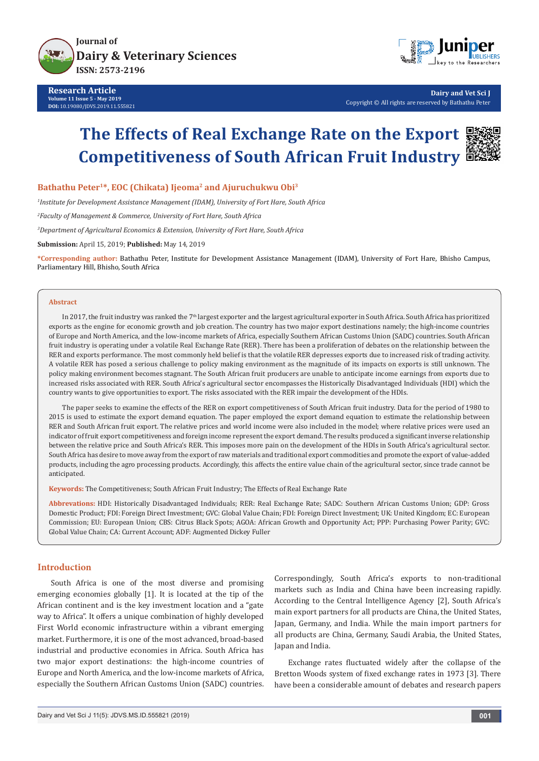

**Research Article Volume 11 Issue 5 - May 2019 DOI:** [10.19080/JDVS.2019.11.555821](http://dx.doi.org/10.19080/JDVS.2019.11.555821)



**Dairy and Vet Sci J** Copyright © All rights are reserved by Bathathu Peter

# **The Effects of Real Exchange Rate on the Export Competitiveness of South African Fruit Industry**



Bathathu Peter<sup>1\*</sup>, EOC (Chikata) Ijeoma<sup>2</sup> and Ajuruchukwu Obi<sup>3</sup>

*1 Institute for Development Assistance Management (IDAM), University of Fort Hare, South Africa*

*2 Faculty of Management & Commerce, University of Fort Hare, South Africa*

*3 Department of Agricultural Economics & Extension, University of Fort Hare, South Africa*

**Submission:** April 15, 2019; **Published:** May 14, 2019

**\*Corresponding author:** Bathathu Peter, Institute for Development Assistance Management (IDAM), University of Fort Hare, Bhisho Campus, Parliamentary Hill, Bhisho, South Africa

## **Abstract**

In 2017, the fruit industry was ranked the 7th largest exporter and the largest agricultural exporter in South Africa. South Africa has prioritized exports as the engine for economic growth and job creation. The country has two major export destinations namely; the high-income countries of Europe and North America, and the low-income markets of Africa, especially Southern African Customs Union (SADC) countries. South African fruit industry is operating under a volatile Real Exchange Rate (RER). There has been a proliferation of debates on the relationship between the RER and exports performance. The most commonly held belief is that the volatile RER depresses exports due to increased risk of trading activity. A volatile RER has posed a serious challenge to policy making environment as the magnitude of its impacts on exports is still unknown. The policy making environment becomes stagnant. The South African fruit producers are unable to anticipate income earnings from exports due to increased risks associated with RER. South Africa's agricultural sector encompasses the Historically Disadvantaged Individuals (HDI) which the country wants to give opportunities to export. The risks associated with the RER impair the development of the HDIs.

The paper seeks to examine the effects of the RER on export competitiveness of South African fruit industry. Data for the period of 1980 to 2015 is used to estimate the export demand equation. The paper employed the export demand equation to estimate the relationship between RER and South African fruit export. The relative prices and world income were also included in the model; where relative prices were used an indicator of fruit export competitiveness and foreign income represent the export demand. The results produced a significant inverse relationship between the relative price and South Africa's RER. This imposes more pain on the development of the HDIs in South Africa's agricultural sector. South Africa has desire to move away from the export of raw materials and traditional export commodities and promote the export of value-added products, including the agro processing products. Accordingly, this affects the entire value chain of the agricultural sector, since trade cannot be anticipated.

**Keywords:** The Competitiveness; South African Fruit Industry; The Effects of Real Exchange Rate

**Abbrevations:** HDI: Historically Disadvantaged Individuals; RER: Real Exchange Rate; SADC: Southern African Customs Union; GDP: Gross Domestic Product; FDI: Foreign Direct Investment; GVC: Global Value Chain; FDI: Foreign Direct Investment; UK: United Kingdom; EC: European Commission; EU: European Union; CBS: Citrus Black Spots; AGOA: African Growth and Opportunity Act; PPP: Purchasing Power Parity; GVC: Global Value Chain; CA: Current Account; ADF: Augmented Dickey Fuller

## **Introduction**

South Africa is one of the most diverse and promising emerging economies globally [1]. It is located at the tip of the African continent and is the key investment location and a "gate way to Africa". It offers a unique combination of highly developed First World economic infrastructure within a vibrant emerging market. Furthermore, it is one of the most advanced, broad-based industrial and productive economies in Africa. South Africa has two major export destinations: the high-income countries of Europe and North America, and the low-income markets of Africa, especially the Southern African Customs Union (SADC) countries.

Correspondingly, South Africa's exports to non-traditional markets such as India and China have been increasing rapidly. According to the Central Intelligence Agency [2], South Africa's main export partners for all products are China, the United States, Japan, Germany, and India. While the main import partners for all products are China, Germany, Saudi Arabia, the United States, Japan and India.

Exchange rates fluctuated widely after the collapse of the Bretton Woods system of fixed exchange rates in 1973 [3]. There have been a considerable amount of debates and research papers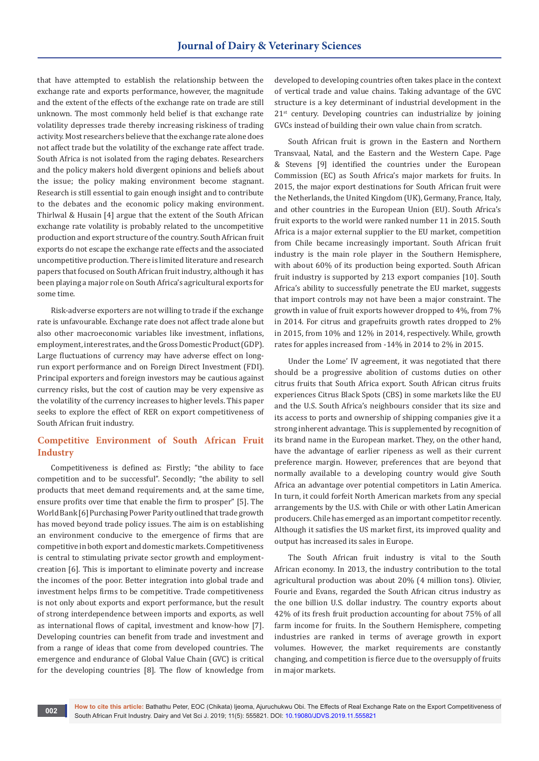that have attempted to establish the relationship between the exchange rate and exports performance, however, the magnitude and the extent of the effects of the exchange rate on trade are still unknown. The most commonly held belief is that exchange rate volatility depresses trade thereby increasing riskiness of trading activity. Most researchers believe that the exchange rate alone does not affect trade but the volatility of the exchange rate affect trade. South Africa is not isolated from the raging debates. Researchers and the policy makers hold divergent opinions and beliefs about the issue; the policy making environment become stagnant. Research is still essential to gain enough insight and to contribute to the debates and the economic policy making environment. Thirlwal & Husain [4] argue that the extent of the South African exchange rate volatility is probably related to the uncompetitive production and export structure of the country. South African fruit exports do not escape the exchange rate effects and the associated uncompetitive production. There is limited literature and research papers that focused on South African fruit industry, although it has been playing a major role on South Africa's agricultural exports for some time.

Risk-adverse exporters are not willing to trade if the exchange rate is unfavourable. Exchange rate does not affect trade alone but also other macroeconomic variables like investment, inflations, employment, interest rates, and the Gross Domestic Product (GDP). Large fluctuations of currency may have adverse effect on longrun export performance and on Foreign Direct Investment (FDI). Principal exporters and foreign investors may be cautious against currency risks, but the cost of caution may be very expensive as the volatility of the currency increases to higher levels. This paper seeks to explore the effect of RER on export competitiveness of South African fruit industry.

## **Competitive Environment of South African Fruit Industry**

Competitiveness is defined as: Firstly; "the ability to face competition and to be successful". Secondly; "the ability to sell products that meet demand requirements and, at the same time, ensure profits over time that enable the firm to prosper" [5]. The World Bank [6] Purchasing Power Parity outlined that trade growth has moved beyond trade policy issues. The aim is on establishing an environment conducive to the emergence of firms that are competitive in both export and domestic markets. Competitiveness is central to stimulating private sector growth and employmentcreation [6]. This is important to eliminate poverty and increase the incomes of the poor. Better integration into global trade and investment helps firms to be competitive. Trade competitiveness is not only about exports and export performance, but the result of strong interdependence between imports and exports, as well as international flows of capital, investment and know-how [7]. Developing countries can benefit from trade and investment and from a range of ideas that come from developed countries. The emergence and endurance of Global Value Chain (GVC) is critical for the developing countries [8]. The flow of knowledge from

developed to developing countries often takes place in the context of vertical trade and value chains. Taking advantage of the GVC structure is a key determinant of industrial development in the 21<sup>st</sup> century. Developing countries can industrialize by joining GVCs instead of building their own value chain from scratch.

South African fruit is grown in the Eastern and Northern Transvaal, Natal, and the Eastern and the Western Cape. Page & Stevens [9] identified the countries under the European Commission (EC) as South Africa's major markets for fruits. In 2015, the major export destinations for South African fruit were the Netherlands, the United Kingdom (UK), Germany, France, Italy, and other countries in the European Union (EU). South Africa's fruit exports to the world were ranked number 11 in 2015. South Africa is a major external supplier to the EU market, competition from Chile became increasingly important. South African fruit industry is the main role player in the Southern Hemisphere, with about 60% of its production being exported. South African fruit industry is supported by 213 export companies [10]. South Africa's ability to successfully penetrate the EU market, suggests that import controls may not have been a major constraint. The growth in value of fruit exports however dropped to 4%, from 7% in 2014. For citrus and grapefruits growth rates dropped to 2% in 2015, from 10% and 12% in 2014, respectively. While, growth rates for apples increased from -14% in 2014 to 2% in 2015.

Under the Lome' IV agreement, it was negotiated that there should be a progressive abolition of customs duties on other citrus fruits that South Africa export. South African citrus fruits experiences Citrus Black Spots (CBS) in some markets like the EU and the U.S. South Africa's neighbours consider that its size and its access to ports and ownership of shipping companies give it a strong inherent advantage. This is supplemented by recognition of its brand name in the European market. They, on the other hand, have the advantage of earlier ripeness as well as their current preference margin. However, preferences that are beyond that normally available to a developing country would give South Africa an advantage over potential competitors in Latin America. In turn, it could forfeit North American markets from any special arrangements by the U.S. with Chile or with other Latin American producers. Chile has emerged as an important competitor recently. Although it satisfies the US market first, its improved quality and output has increased its sales in Europe.

The South African fruit industry is vital to the South African economy. In 2013, the industry contribution to the total agricultural production was about 20% (4 million tons). Olivier, Fourie and Evans, regarded the South African citrus industry as the one billion U.S. dollar industry. The country exports about 42% of its fresh fruit production accounting for about 75% of all farm income for fruits. In the Southern Hemisphere, competing industries are ranked in terms of average growth in export volumes. However, the market requirements are constantly changing, and competition is fierce due to the oversupply of fruits in major markets.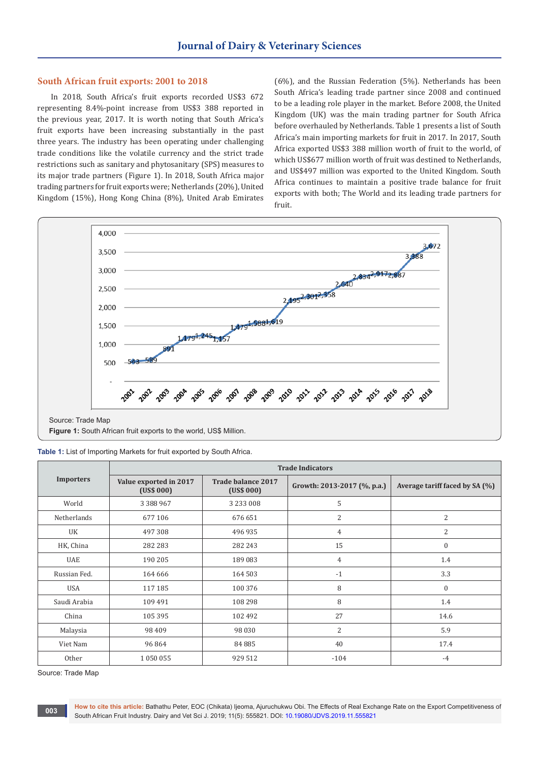## **South African fruit exports: 2001 to 2018**

In 2018, South Africa's fruit exports recorded US\$3 672 representing 8.4%-point increase from US\$3 388 reported in the previous year, 2017. It is worth noting that South Africa's fruit exports have been increasing substantially in the past three years. The industry has been operating under challenging trade conditions like the volatile currency and the strict trade restrictions such as sanitary and phytosanitary (SPS) measures to its major trade partners (Figure 1). In 2018, South Africa major trading partners for fruit exports were; Netherlands (20%), United Kingdom (15%), Hong Kong China (8%), United Arab Emirates

(6%), and the Russian Federation (5%). Netherlands has been South Africa's leading trade partner since 2008 and continued to be a leading role player in the market. Before 2008, the United Kingdom (UK) was the main trading partner for South Africa before overhauled by Netherlands. Table 1 presents a list of South Africa's main importing markets for fruit in 2017. In 2017, South Africa exported US\$3 388 million worth of fruit to the world, of which US\$677 million worth of fruit was destined to Netherlands, and US\$497 million was exported to the United Kingdom. South Africa continues to maintain a positive trade balance for fruit exports with both; The World and its leading trade partners for fruit.



**Figure 1:** South African fruit exports to the world, US\$ Million.

**Table 1:** List of Importing Markets for fruit exported by South Africa.

|                  | <b>Trade Indicators</b>              |                                  |                             |                                |  |
|------------------|--------------------------------------|----------------------------------|-----------------------------|--------------------------------|--|
| <b>Importers</b> | Value exported in 2017<br>(US\$ 000) | Trade balance 2017<br>(US\$ 000) | Growth: 2013-2017 (%, p.a.) | Average tariff faced by SA (%) |  |
| World            | 3 3 8 9 9 6 7                        | 3 2 3 3 0 0 8                    | 5                           |                                |  |
| Netherlands      | 677 106                              | 676 651                          | 2                           | 2                              |  |
| UK               | 497308                               | 496 935                          | $\overline{4}$              | 2                              |  |
| HK, China        | 282 283                              | 282 243                          | 15                          | $\mathbf{0}$                   |  |
| <b>UAE</b>       | 190 205                              | 189 083                          | $\overline{4}$              | 1.4                            |  |
| Russian Fed.     | 164 666                              | 164 503                          | $-1$                        | 3.3                            |  |
| USA              | 117 185                              | 100 376                          | 8                           | $\mathbf{0}$                   |  |
| Saudi Arabia     | 109 491                              | 108 298                          | 8                           | 1.4                            |  |
| China            | 105 395                              | 102 492                          | 27                          | 14.6                           |  |
| Malaysia         | 98 409                               | 98 030                           | $\overline{2}$              | 5.9                            |  |
| Viet Nam         | 96864                                | 84885                            | 40                          | 17.4                           |  |
| Other            | 1 0 5 0 0 5 5                        | 929 512                          | $-104$                      | $-4$                           |  |

Source: Trade Map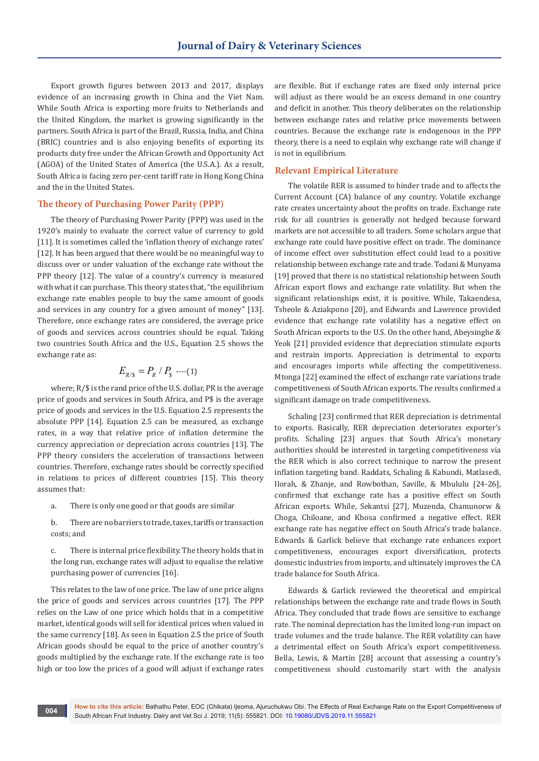Export growth figures between 2013 and 2017, displays evidence of an increasing growth in China and the Viet Nam. While South Africa is exporting more fruits to Netherlands and the United Kingdom, the market is growing significantly in the partners. South Africa is part of the Brazil, Russia, India, and China (BRIC) countries and is also enjoying benefits of exporting its products duty free under the African Growth and Opportunity Act (AGOA) of the United States of America (the U.S.A.). As a result, South Africa is facing zero per-cent tariff rate in Hong Kong China and the in the United States.

## **The theory of Purchasing Power Parity (PPP)**

The theory of Purchasing Power Parity (PPP) was used in the 1920's mainly to evaluate the correct value of currency to gold [11]. It is sometimes called the 'inflation theory of exchange rates' [12]. It has been argued that there would be no meaningful way to discuss over or under valuation of the exchange rate without the PPP theory [12]. The value of a country's currency is measured with what it can purchase. This theory states that, "the equilibrium exchange rate enables people to buy the same amount of goods and services in any country for a given amount of money" [13]. Therefore, once exchange rates are considered, the average price of goods and services across countries should be equal. Taking two countries South Africa and the U.S., Equation 2.5 shows the exchange rate as:

$$
E_{R/S} = P_R / P_s \quad \text{---}(1)
$$

where; R/\$ is the rand price of the U.S. dollar, PR is the average price of goods and services in South Africa, and P\$ is the average price of goods and services in the U.S. Equation 2.5 represents the absolute PPP [14]. Equation 2.5 can be measured, as exchange rates, in a way that relative price of inflation determine the currency appreciation or depreciation across countries [13]. The PPP theory considers the acceleration of transactions between countries. Therefore, exchange rates should be correctly specified in relations to prices of different countries [15]. This theory assumes that:

- a. There is only one good or that goods are similar
- b. There are no barriers to trade, taxes, tariffs or transaction costs; and

c. There is internal price flexibility. The theory holds that in the long run, exchange rates will adjust to equalise the relative purchasing power of currencies [16].

This relates to the law of one price. The law of one price aligns the price of goods and services across countries [17]. The PPP relies on the Law of one price which holds that in a competitive market, identical goods will sell for identical prices when valued in the same currency [18]. As seen in Equation 2.5 the price of South African goods should be equal to the price of another country's goods multiplied by the exchange rate. If the exchange rate is too high or too low the prices of a good will adjust if exchange rates

are flexible. But if exchange rates are fixed only internal price will adjust as there would be an excess demand in one country and deficit in another. This theory deliberates on the relationship between exchange rates and relative price movements between countries. Because the exchange rate is endogenous in the PPP theory, there is a need to explain why exchange rate will change if is not in equilibrium.

## **Relevant Empirical Literature**

The volatile RER is assumed to hinder trade and to affects the Current Account (CA) balance of any country. Volatile exchange rate creates uncertainty about the profits on trade. Exchange rate risk for all countries is generally not hedged because forward markets are not accessible to all traders. Some scholars argue that exchange rate could have positive effect on trade. The dominance of income effect over substitution effect could lead to a positive relationship between exchange rate and trade. Todani & Munyama [19] proved that there is no statistical relationship between South African export flows and exchange rate volatility. But when the significant relationships exist, it is positive. While, Takaendesa, Tsheole & Aziakpono [20], and Edwards and Lawrence provided evidence that exchange rate volatility has a negative effect on South African exports to the U.S. On the other hand, Abeysinghe & Yeok [21] provided evidence that depreciation stimulate exports and restrain imports. Appreciation is detrimental to exports and encourages imports while affecting the competitiveness. Mtonga [22] examined the effect of exchange rate variations trade competitiveness of South African exports. The results confirmed a significant damage on trade competitiveness.

Schaling [23] confirmed that RER depreciation is detrimental to exports. Basically, RER depreciation deteriorates exporter's profits. Schaling [23] argues that South Africa's monetary authorities should be interested in targeting competitiveness via the RER which is also correct technique to narrow the present inflation targeting band. Raddats, Schaling & Kabundi, Matlasedi, Ilorah, & Zhanje, and Rowbothan, Saville, & Mbululu [24-26], confirmed that exchange rate has a positive effect on South African exports. While, Sekantsi [27], Muzenda, Chamunorw & Choga, Chiloane, and Khosa confirmed a negative effect. RER exchange rate has negative effect on South Africa's trade balance. Edwards & Garlick believe that exchange rate enhances export competitiveness, encourages export diversification, protects domestic industries from imports, and ultimately improves the CA trade balance for South Africa.

Edwards & Garlick reviewed the theoretical and empirical relationships between the exchange rate and trade flows in South Africa. They concluded that trade flows are sensitive to exchange rate. The nominal depreciation has the limited long-run impact on trade volumes and the trade balance. The RER volatility can have a detrimental effect on South Africa's export competitiveness. Bella, Lewis, & Martin [28] account that assessing a country's competitiveness should customarily start with the analysis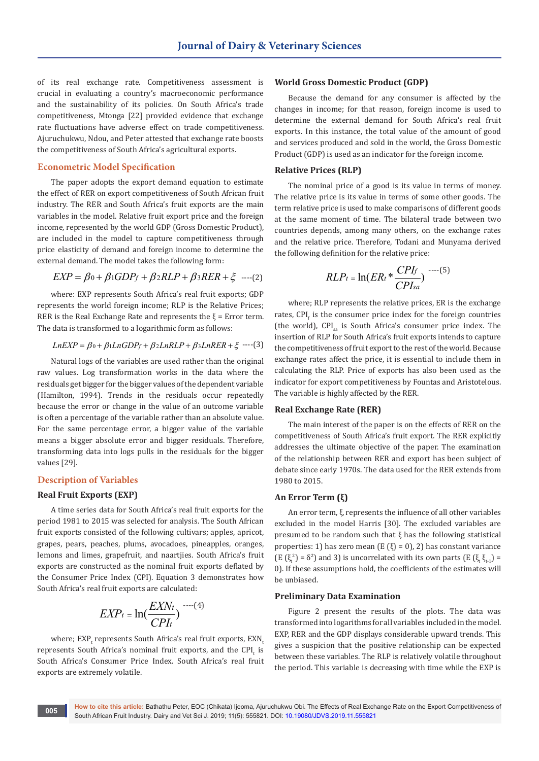of its real exchange rate. Competitiveness assessment is crucial in evaluating a country's macroeconomic performance and the sustainability of its policies. On South Africa's trade competitiveness, Mtonga [22] provided evidence that exchange rate fluctuations have adverse effect on trade competitiveness. Ajuruchukwu, Ndou, and Peter attested that exchange rate boosts the competitiveness of South Africa's agricultural exports.

## **Econometric Model Specification**

The paper adopts the export demand equation to estimate the effect of RER on export competitiveness of South African fruit industry. The RER and South Africa's fruit exports are the main variables in the model. Relative fruit export price and the foreign income, represented by the world GDP (Gross Domestic Product), are included in the model to capture competitiveness through price elasticity of demand and foreign income to determine the external demand. The model takes the following form:

$$
EXP = \beta_0 + \beta_1 GDP_f + \beta_2 RLP + \beta_3 RER + \xi
$$
 --- (2)

where: EXP represents South Africa's real fruit exports; GDP represents the world foreign income; RLP is the Relative Prices; RER is the Real Exchange Rate and represents the  $\xi$  = Error term. The data is transformed to a logarithmic form as follows:

$$
LnEXP = \beta_0 + \beta_1 LnGDP_f + \beta_2 LnRLP + \beta_3 LnRER + \xi
$$
---(3)

Natural logs of the variables are used rather than the original raw values. Log transformation works in the data where the residuals get bigger for the bigger values of the dependent variable (Hamilton, 1994). Trends in the residuals occur repeatedly because the error or change in the value of an outcome variable is often a percentage of the variable rather than an absolute value. For the same percentage error, a bigger value of the variable means a bigger absolute error and bigger residuals. Therefore, transforming data into logs pulls in the residuals for the bigger values [29].

## **Description of Variables**

## **Real Fruit Exports (EXP)**

A time series data for South Africa's real fruit exports for the period 1981 to 2015 was selected for analysis. The South African fruit exports consisted of the following cultivars; apples, apricot, grapes, pears, peaches, plums, avocadoes, pineapples, oranges, lemons and limes, grapefruit, and naartjies. South Africa's fruit exports are constructed as the nominal fruit exports deflated by the Consumer Price Index (CPI). Equation 3 demonstrates how South Africa's real fruit exports are calculated:

$$
EXP_{t} = \ln(\frac{EXN_{t}}{CPI_{t}})^{-\cdots(4)}
$$

where; EXP<sub>t</sub> represents South Africa's real fruit exports, EXN<sub>t</sub> represents South Africa's nominal fruit exports, and the  $\text{CPI}_\text{t}$  is South Africa's Consumer Price Index. South Africa's real fruit exports are extremely volatile.

#### **World Gross Domestic Product (GDP)**

Because the demand for any consumer is affected by the changes in income; for that reason, foreign income is used to determine the external demand for South Africa's real fruit exports. In this instance, the total value of the amount of good and services produced and sold in the world, the Gross Domestic Product (GDP) is used as an indicator for the foreign income.

## **Relative Prices (RLP)**

The nominal price of a good is its value in terms of money. The relative price is its value in terms of some other goods. The term relative price is used to make comparisons of different goods at the same moment of time. The bilateral trade between two countries depends, among many others, on the exchange rates and the relative price. Therefore, Todani and Munyama derived the following definition for the relative price:

$$
RLP_t = \ln(ER_t * \frac{CPI_f}{CPI_{sa}})^{-(5)}
$$

where; RLP represents the relative prices, ER is the exchange rates, CPI<sub>f</sub> is the consumer price index for the foreign countries (the world), CPI<sub>sa</sub> is South Africa's consumer price index. The insertion of RLP for South Africa's fruit exports intends to capture the competitiveness of fruit export to the rest of the world. Because exchange rates affect the price, it is essential to include them in calculating the RLP. Price of exports has also been used as the indicator for export competitiveness by Fountas and Aristotelous. The variable is highly affected by the RER.

## **Real Exchange Rate (RER)**

The main interest of the paper is on the effects of RER on the competitiveness of South Africa's fruit export. The RER explicitly addresses the ultimate objective of the paper. The examination of the relationship between RER and export has been subject of debate since early 1970s. The data used for the RER extends from 1980 to 2015.

#### **An Error Term (ξ)**

An error term, ξ, represents the influence of all other variables excluded in the model Harris [30]. The excluded variables are presumed to be random such that ξ has the following statistical properties: 1) has zero mean (E  $(\xi) = 0$ ), 2) has constant variance  $(E(\xi_t^2) = \delta^2)$  and 3) is uncorrelated with its own parts  $(E(\xi_t \xi_{t-1}) =$ 0). If these assumptions hold, the coefficients of the estimates will be unbiased.

## **Preliminary Data Examination**

Figure 2 present the results of the plots. The data was transformed into logarithms for all variables included in the model. EXP, RER and the GDP displays considerable upward trends. This gives a suspicion that the positive relationship can be expected between these variables. The RLP is relatively volatile throughout the period. This variable is decreasing with time while the EXP is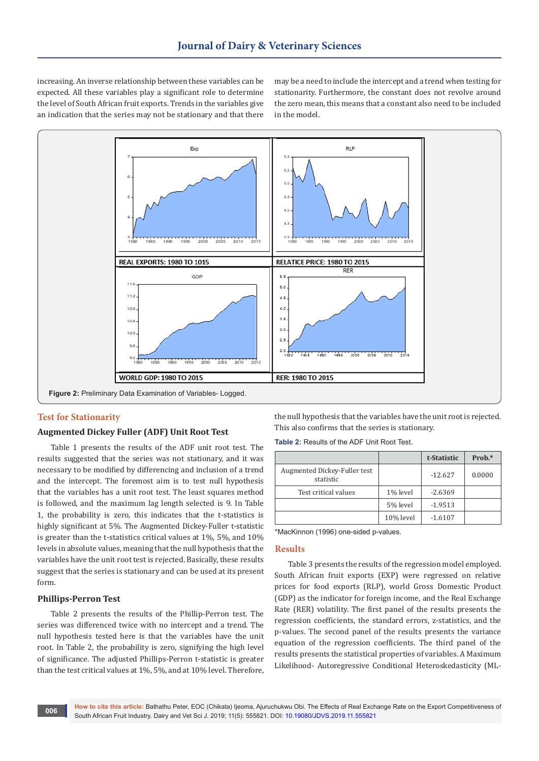increasing. An inverse relationship between these variables can be expected. All these variables play a significant role to determine the level of South African fruit exports. Trends in the variables give an indication that the series may not be stationary and that there may be a need to include the intercept and a trend when testing for stationarity. Furthermore, the constant does not revolve around the zero mean, this means that a constant also need to be included in the model.



## **Test for Stationarity**

## **Augmented Dickey Fuller (ADF) Unit Root Test**

Table 1 presents the results of the ADF unit root test. The results suggested that the series was not stationary, and it was necessary to be modified by differencing and inclusion of a trend and the intercept. The foremost aim is to test null hypothesis that the variables has a unit root test. The least squares method is followed, and the maximum lag length selected is 9. In Table 1, the probability is zero, this indicates that the t-statistics is highly significant at 5%. The Augmented Dickey-Fuller t-statistic is greater than the t-statistics critical values at 1%, 5%, and 10% levels in absolute values, meaning that the null hypothesis that the variables have the unit root test is rejected. Basically, these results suggest that the series is stationary and can be used at its present form.

## **Phillips-Perron Test**

Table 2 presents the results of the Phillip-Perron test. The series was differenced twice with no intercept and a trend. The null hypothesis tested here is that the variables have the unit root. In Table 2, the probability is zero, signifying the high level of significance. The adjusted Phillips-Perron t-statistic is greater than the test critical values at 1%, 5%, and at 10% level. Therefore,

the null hypothesis that the variables have the unit root is rejected. This also confirms that the series is stationary.

**Table 2:** Results of the ADF Unit Root Test.

|                                           |           | t-Statistic | $Prob.*$ |
|-------------------------------------------|-----------|-------------|----------|
| Augmented Dickey-Fuller test<br>statistic |           | $-12.627$   | 0.0000   |
| Test critical values                      | 1% level  | $-2.6369$   |          |
|                                           | 5% level  | $-1.9513$   |          |
|                                           | 10% level | $-1.6107$   |          |

\*MacKinnon (1996) one-sided p-values.

#### **Results**

Table 3 presents the results of the regression model employed. South African fruit exports (EXP) were regressed on relative prices for food exports (RLP), world Gross Domestic Product (GDP) as the indicator for foreign income, and the Real Exchange Rate (RER) volatility. The first panel of the results presents the regression coefficients, the standard errors, z-statistics, and the p-values. The second panel of the results presents the variance equation of the regression coefficients. The third panel of the results presents the statistical properties of variables. A Maximum Likelihood- Autoregressive Conditional Heteroskedasticity (ML-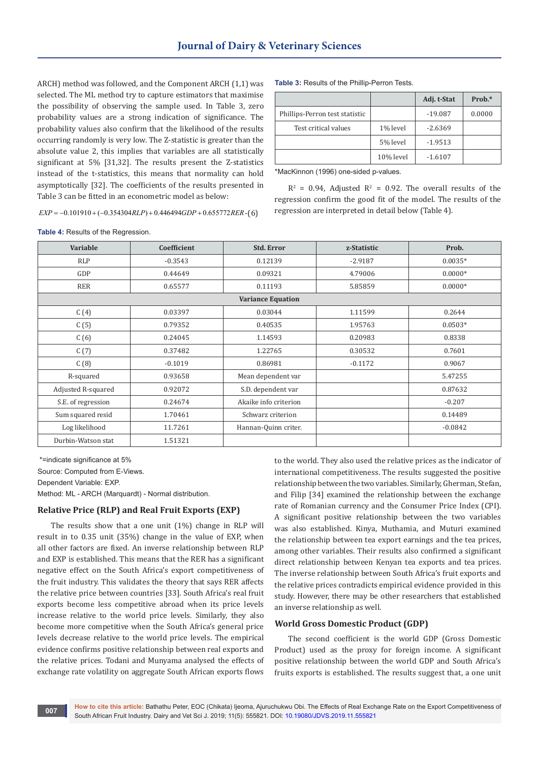ARCH) method was followed, and the Component ARCH (1,1) was selected. The ML method try to capture estimators that maximise the possibility of observing the sample used. In Table 3, zero probability values are a strong indication of significance. The probability values also confirm that the likelihood of the results occurring randomly is very low. The Z-statistic is greater than the absolute value 2, this implies that variables are all statistically significant at 5% [31,32]. The results present the Z-statistics instead of the t-statistics, this means that normality can hold asymptotically [32]. The coefficients of the results presented in Table 3 can be fitted in an econometric model as below:

 $EXP = -0.101910 + (-0.354304 RLP) + 0.446494 GDP + 0.655772 RER - (6)$ 

**Table 3:** Results of the Phillip-Perron Tests.

|                                |           | Adj. t-Stat | $Prob.*$ |
|--------------------------------|-----------|-------------|----------|
| Phillips-Perron test statistic |           | $-19.087$   | 0.0000   |
| Test critical values           | 1% level  | $-2.6369$   |          |
|                                | 5% level  | $-1.9513$   |          |
|                                | 10% level | $-1.6107$   |          |

\*MacKinnon (1996) one-sided p-values.

 $R^2$  = 0.94, Adjusted  $R^2$  = 0.92. The overall results of the regression confirm the good fit of the model. The results of the regression are interpreted in detail below (Table 4).

**Table 4:** Results of the Regression.

| Variable                 | Coefficient | <b>Std. Error</b>     | z-Statistic | Prob.     |  |  |
|--------------------------|-------------|-----------------------|-------------|-----------|--|--|
| <b>RLP</b>               | $-0.3543$   | 0.12139               | $-2.9187$   | $0.0035*$ |  |  |
| GDP                      | 0.44649     | 0.09321               | 4.79006     | $0.0000*$ |  |  |
| <b>RER</b>               | 0.65577     | 0.11193               | 5.85859     | $0.0000*$ |  |  |
| <b>Variance Equation</b> |             |                       |             |           |  |  |
| C(4)                     | 0.03397     | 0.03044               | 1.11599     | 0.2644    |  |  |
| C(5)                     | 0.79352     | 0.40535               | 1.95763     | $0.0503*$ |  |  |
| C(6)                     | 0.24045     | 1.14593               | 0.20983     | 0.8338    |  |  |
| C(7)                     | 0.37482     | 1.22765               | 0.30532     | 0.7601    |  |  |
| C(8)                     | $-0.1019$   | 0.86981               | $-0.1172$   | 0.9067    |  |  |
| R-squared                | 0.93658     | Mean dependent var    |             | 5.47255   |  |  |
| Adjusted R-squared       | 0.92072     | S.D. dependent var    |             | 0.87632   |  |  |
| S.E. of regression       | 0.24674     | Akaike info criterion |             | $-0.207$  |  |  |
| Sum squared resid        | 1.70461     | Schwarz criterion     |             | 0.14489   |  |  |
| Log likelihood           | 11.7261     | Hannan-Quinn criter.  |             | $-0.0842$ |  |  |
| Durbin-Watson stat       | 1.51321     |                       |             |           |  |  |

 \*=indicate significance at 5% Source: Computed from E-Views. Dependent Variable: EXP.

Method: ML - ARCH (Marquardt) - Normal distribution.

# **Relative Price (RLP) and Real Fruit Exports (EXP)**

The results show that a one unit (1%) change in RLP will result in to 0.35 unit (35%) change in the value of EXP, when all other factors are fixed. An inverse relationship between RLP and EXP is established. This means that the RER has a significant negative effect on the South Africa's export competitiveness of the fruit industry. This validates the theory that says RER affects the relative price between countries [33]. South Africa's real fruit exports become less competitive abroad when its price levels increase relative to the world price levels. Similarly, they also become more competitive when the South Africa's general price levels decrease relative to the world price levels. The empirical evidence confirms positive relationship between real exports and the relative prices. Todani and Munyama analysed the effects of exchange rate volatility on aggregate South African exports flows

to the world. They also used the relative prices as the indicator of international competitiveness. The results suggested the positive relationship between the two variables. Similarly, Gherman, Stefan, and Filip [34] examined the relationship between the exchange rate of Romanian currency and the Consumer Price Index (CPI). A significant positive relationship between the two variables was also established. Kinya, Muthamia, and Muturi examined the relationship between tea export earnings and the tea prices, among other variables. Their results also confirmed a significant direct relationship between Kenyan tea exports and tea prices. The inverse relationship between South Africa's fruit exports and the relative prices contradicts empirical evidence provided in this study. However, there may be other researchers that established an inverse relationship as well.

## **World Gross Domestic Product (GDP)**

The second coefficient is the world GDP (Gross Domestic Product) used as the proxy for foreign income. A significant positive relationship between the world GDP and South Africa's fruits exports is established. The results suggest that, a one unit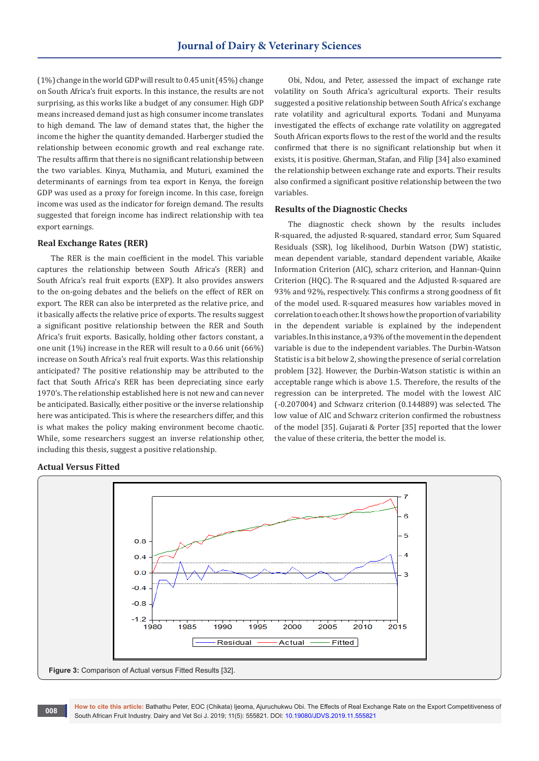(1%) change in the world GDP will result to 0.45 unit (45%) change on South Africa's fruit exports. In this instance, the results are not surprising, as this works like a budget of any consumer. High GDP means increased demand just as high consumer income translates to high demand. The law of demand states that, the higher the income the higher the quantity demanded. Harberger studied the relationship between economic growth and real exchange rate. The results affirm that there is no significant relationship between the two variables. Kinya, Muthamia, and Muturi, examined the determinants of earnings from tea export in Kenya, the foreign GDP was used as a proxy for foreign income. In this case, foreign income was used as the indicator for foreign demand. The results suggested that foreign income has indirect relationship with tea export earnings.

## **Real Exchange Rates (RER)**

The RER is the main coefficient in the model. This variable captures the relationship between South Africa's (RER) and South Africa's real fruit exports (EXP). It also provides answers to the on-going debates and the beliefs on the effect of RER on export. The RER can also be interpreted as the relative price, and it basically affects the relative price of exports. The results suggest a significant positive relationship between the RER and South Africa's fruit exports. Basically, holding other factors constant, a one unit (1%) increase in the RER will result to a 0.66 unit (66%) increase on South Africa's real fruit exports. Was this relationship anticipated? The positive relationship may be attributed to the fact that South Africa's RER has been depreciating since early 1970's. The relationship established here is not new and can never be anticipated. Basically, either positive or the inverse relationship here was anticipated. This is where the researchers differ, and this is what makes the policy making environment become chaotic. While, some researchers suggest an inverse relationship other, including this thesis, suggest a positive relationship.

Obi, Ndou, and Peter, assessed the impact of exchange rate volatility on South Africa's agricultural exports. Their results suggested a positive relationship between South Africa's exchange rate volatility and agricultural exports. Todani and Munyama investigated the effects of exchange rate volatility on aggregated South African exports flows to the rest of the world and the results confirmed that there is no significant relationship but when it exists, it is positive. Gherman, Stafan, and Filip [34] also examined the relationship between exchange rate and exports. Their results also confirmed a significant positive relationship between the two variables.

## **Results of the Diagnostic Checks**

The diagnostic check shown by the results includes R-squared, the adjusted R-squared, standard error, Sum Squared Residuals (SSR), log likelihood, Durbin Watson (DW) statistic, mean dependent variable, standard dependent variable, Akaike Information Criterion (AIC), scharz criterion, and Hannan-Quinn Criterion (HQC). The R-squared and the Adjusted R-squared are 93% and 92%, respectively. This confirms a strong goodness of fit of the model used. R-squared measures how variables moved in correlation to each other. It shows how the proportion of variability in the dependent variable is explained by the independent variables. In this instance, a 93% of the movement in the dependent variable is due to the independent variables. The Durbin-Watson Statistic is a bit below 2, showing the presence of serial correlation problem [32]. However, the Durbin-Watson statistic is within an acceptable range which is above 1.5. Therefore, the results of the regression can be interpreted. The model with the lowest AIC (-0.207004) and Schwarz criterion (0.144889) was selected. The low value of AIC and Schwarz criterion confirmed the robustness of the model [35]. Gujarati & Porter [35] reported that the lower the value of these criteria, the better the model is.

## **Actual Versus Fitted**



**How to cite this article:** Bathathu Peter, EOC (Chikata) Ijeoma, Ajuruchukwu Obi. The Effects of Real Exchange Rate on the Export Competitiveness of South African Fruit Industry. Dairy and Vet Sci J. 2019; 11(5): 555821. DOI: [10.19080/JDVS.2019.11.555821](http://dx.doi.org/10.19080/JDVS.2019.11.555821) **<sup>008</sup>**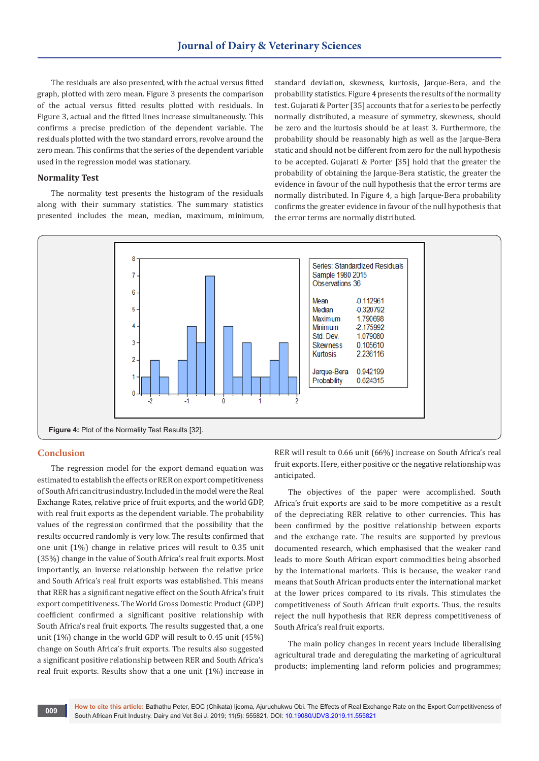The residuals are also presented, with the actual versus fitted graph, plotted with zero mean. Figure 3 presents the comparison of the actual versus fitted results plotted with residuals. In Figure 3, actual and the fitted lines increase simultaneously. This confirms a precise prediction of the dependent variable. The residuals plotted with the two standard errors, revolve around the zero mean. This confirms that the series of the dependent variable used in the regression model was stationary.

## **Normality Test**

The normality test presents the histogram of the residuals along with their summary statistics. The summary statistics presented includes the mean, median, maximum, minimum, standard deviation, skewness, kurtosis, Jarque-Bera, and the probability statistics. Figure 4 presents the results of the normality test. Gujarati & Porter [35] accounts that for a series to be perfectly normally distributed, a measure of symmetry, skewness, should be zero and the kurtosis should be at least 3. Furthermore, the probability should be reasonably high as well as the Jarque-Bera static and should not be different from zero for the null hypothesis to be accepted. Gujarati & Porter [35] hold that the greater the probability of obtaining the Jarque-Bera statistic, the greater the evidence in favour of the null hypothesis that the error terms are normally distributed. In Figure 4, a high Jarque-Bera probability confirms the greater evidence in favour of the null hypothesis that the error terms are normally distributed.



## **Conclusion**

The regression model for the export demand equation was estimated to establish the effects or RER on export competitiveness of South African citrus industry. Included in the model were the Real Exchange Rates, relative price of fruit exports, and the world GDP, with real fruit exports as the dependent variable. The probability values of the regression confirmed that the possibility that the results occurred randomly is very low. The results confirmed that one unit (1%) change in relative prices will result to 0.35 unit (35%) change in the value of South Africa's real fruit exports. Most importantly, an inverse relationship between the relative price and South Africa's real fruit exports was established. This means that RER has a significant negative effect on the South Africa's fruit export competitiveness. The World Gross Domestic Product (GDP) coefficient confirmed a significant positive relationship with South Africa's real fruit exports. The results suggested that, a one unit (1%) change in the world GDP will result to 0.45 unit (45%) change on South Africa's fruit exports. The results also suggested a significant positive relationship between RER and South Africa's real fruit exports. Results show that a one unit (1%) increase in

RER will result to 0.66 unit (66%) increase on South Africa's real fruit exports. Here, either positive or the negative relationship was anticipated.

The objectives of the paper were accomplished. South Africa's fruit exports are said to be more competitive as a result of the depreciating RER relative to other currencies. This has been confirmed by the positive relationship between exports and the exchange rate. The results are supported by previous documented research, which emphasised that the weaker rand leads to more South African export commodities being absorbed by the international markets. This is because, the weaker rand means that South African products enter the international market at the lower prices compared to its rivals. This stimulates the competitiveness of South African fruit exports. Thus, the results reject the null hypothesis that RER depress competitiveness of South Africa's real fruit exports.

The main policy changes in recent years include liberalising agricultural trade and deregulating the marketing of agricultural products; implementing land reform policies and programmes;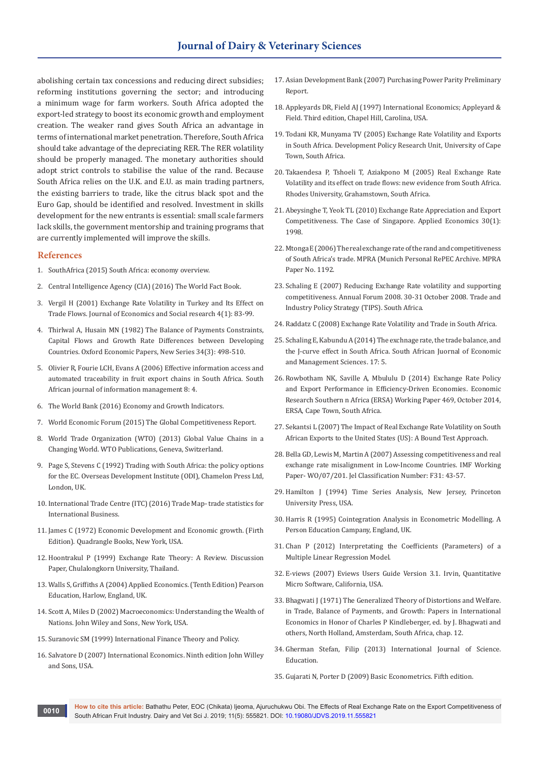abolishing certain tax concessions and reducing direct subsidies; reforming institutions governing the sector; and introducing a minimum wage for farm workers. South Africa adopted the export-led strategy to boost its economic growth and employment creation. The weaker rand gives South Africa an advantage in terms of international market penetration. Therefore, South Africa should take advantage of the depreciating RER. The RER volatility should be properly managed. The monetary authorities should adopt strict controls to stabilise the value of the rand. Because South Africa relies on the U.K. and E.U. as main trading partners, the existing barriers to trade, like the citrus black spot and the Euro Gap, should be identified and resolved. Investment in skills development for the new entrants is essential: small scale farmers lack skills, the government mentorship and training programs that are currently implemented will improve the skills.

## **References**

- 1. SouthAfrica (2015) South Africa: economy overview.
- 2. Central Intelligence Agency (CIA) (2016) The World Fact Book.
- 3. Vergil H (2001) Exchange Rate Volatility in Turkey and Its Effect on Trade Flows. Journal of Economics and Social research 4(1): 83-99.
- 4. [Thirlwal A, Husain MN \(1982\) The Balance of Payments Constraints,](file:///C:\Users\JP\Desktop\JDVS-RA-19-836_F\The%20Balance%20of%20Payments%20Constraints,%20Capital%20Flows%20and%20Growth%20Rate%20Differences%20between%20Developing%20Countries)  [Capital Flows and Growth Rate Differences between Developing](file:///C:\Users\JP\Desktop\JDVS-RA-19-836_F\The%20Balance%20of%20Payments%20Constraints,%20Capital%20Flows%20and%20Growth%20Rate%20Differences%20between%20Developing%20Countries)  [Countries. Oxford Economic Papers, New Series 34\(3\): 498-510.](file:///C:\Users\JP\Desktop\JDVS-RA-19-836_F\The%20Balance%20of%20Payments%20Constraints,%20Capital%20Flows%20and%20Growth%20Rate%20Differences%20between%20Developing%20Countries)
- 5. [Olivier R, Fourie LCH, Evans A \(2006\) Effective information access and](http://scholar.sun.ac.za/handle/10019.1/19460)  [automated traceability in fruit export chains in South Africa. South](http://scholar.sun.ac.za/handle/10019.1/19460)  [African journal of information management 8: 4.](http://scholar.sun.ac.za/handle/10019.1/19460)
- 6. The World Bank (2016) Economy and Growth Indicators.
- 7. World Economic Forum (2015) The Global Competitiveness Report.
- 8. World Trade Organization (WTO) (2013) Global Value Chains in a Changing World. WTO Publications, Geneva, Switzerland.
- 9. Page S, Stevens C (1992) Trading with South Africa: the policy options for the EC. Overseas Development Institute (ODI), Chamelon Press Ltd, London, UK.
- 10. International Trade Centre (ITC) (2016) Trade Map- trade statistics for International Business.
- 11. James C (1972) Economic Development and Economic growth. (Firth Edition). Quadrangle Books, New York, USA.
- 12. Hoontrakul P (1999) Exchange Rate Theory: A Review. Discussion Paper, Chulalongkorn University, Thailand.
- 13. Walls S, Griffiths A (2004) Applied Economics. (Tenth Edition) Pearson Education, Harlow, England, UK.
- 14. Scott A, Miles D (2002) Macroeconomics: Understanding the Wealth of Nations. John Wiley and Sons, New York, USA.
- 15. Suranovic SM (1999) International Finance Theory and Policy.
- 16. Salvatore D (2007) International Economics. Ninth edition John Willey and Sons, USA.
- 17. Asian Development Bank (2007) Purchasing Power Parity Preliminary Report.
- 18. Appleyards DR, Field AJ (1997) International Economics; Appleyard & Field. Third edition, Chapel Hill, Carolina, USA.
- 19. Todani KR, Munyama TV (2005) Exchange Rate Volatility and Exports in South Africa. Development Policy Research Unit, University of Cape Town, South Africa.
- 20. Takaendesa P, Tshoeli T, Aziakpono M (2005) Real Exchange Rate Volatility and its effect on trade flows: new evidence from South Africa. Rhodes University, Grahamstown, South Africa.
- 21. Abeysinghe T, Yeok TL (2010) Exchange Rate Appreciation and Export Competitiveness. The Case of Singapore. Applied Economics 30(1): 1998.
- 22. Mtonga E (2006) The real exchange rate of the rand and competitiveness of South Africa's trade. MPRA (Munich Personal RePEC Archive. MPRA Paper No. 1192.
- 23. Schaling E (2007) Reducing Exchange Rate volatility and supporting competitiveness. Annual Forum 2008. 30-31 October 2008. Trade and Industry Policy Strategy (TIPS). South Africa.
- 24. Raddatz C (2008) Exchange Rate Volatility and Trade in South Africa.
- 25. [Schaling E, Kabundu A \(2014\) The exchnage rate, the trade balance, and](http://www.scielo.org.za/scielo.php?script=sci_arttext&pid=S2222-34362014000500006)  [the J-curve effect in South Africa. South African Juornal of Economic](http://www.scielo.org.za/scielo.php?script=sci_arttext&pid=S2222-34362014000500006)  [and Management Sciences. 17: 5.](http://www.scielo.org.za/scielo.php?script=sci_arttext&pid=S2222-34362014000500006)
- 26. Rowbotham NK, Saville A, Mbululu D (2014) Exchange Rate Policy and Export Performance in Efficiency-Driven Economies. Economic Research Southern n Africa (ERSA) Working Paper 469, October 2014, ERSA, Cape Town, South Africa.
- 27. Sekantsi L (2007) The Impact of Real Exchange Rate Volatility on South African Exports to the United States (US): A Bound Test Approach.
- 28. Bella GD, Lewis M, Martin A (2007) Assessing competitiveness and real exchange rate misalignment in Low-Income Countries. IMF Working Paper- WO/07/201. Jel Classification Number: F31: 43-57.
- 29. Hamilton J (1994) Time Series Analysis, New Jersey, Princeton University Press, USA.
- 30. Harris R (1995) Cointegration Analysis in Econometric Modelling. A Person Education Campany, England, UK.
- 31. Chan P (2012) Interpretating the Coefficients (Parameters) of a Multiple Linear Regression Model.
- 32. E-views (2007) Eviews Users Guide Version 3.1. Irvin, Quantitative Micro Software, California, USA.
- 33. Bhagwati J (1971) The Generalized Theory of Distortions and Welfare. in Trade, Balance of Payments, and Growth: Papers in International Economics in Honor of Charles P Kindleberger, ed. by J. Bhagwati and others, North Holland, Amsterdam, South Africa, chap. 12.
- 34. Gherman Stefan, Filip (2013) International Journal of Science. Education.
- 35. Gujarati N, Porter D (2009) Basic Econometrics. Fifth edition.

**How to cite this article:** Bathathu Peter, EOC (Chikata) Ijeoma, Ajuruchukwu Obi. The Effects of Real Exchange Rate on the Export Competitiveness of South African Fruit Industry. Dairy and Vet Sci J. 2019; 11(5): 555821. DOI: [10.19080/JDVS.2019.11.555821](http://dx.doi.org/10.19080/JDVS.2019.11.555821) **<sup>0010</sup>**